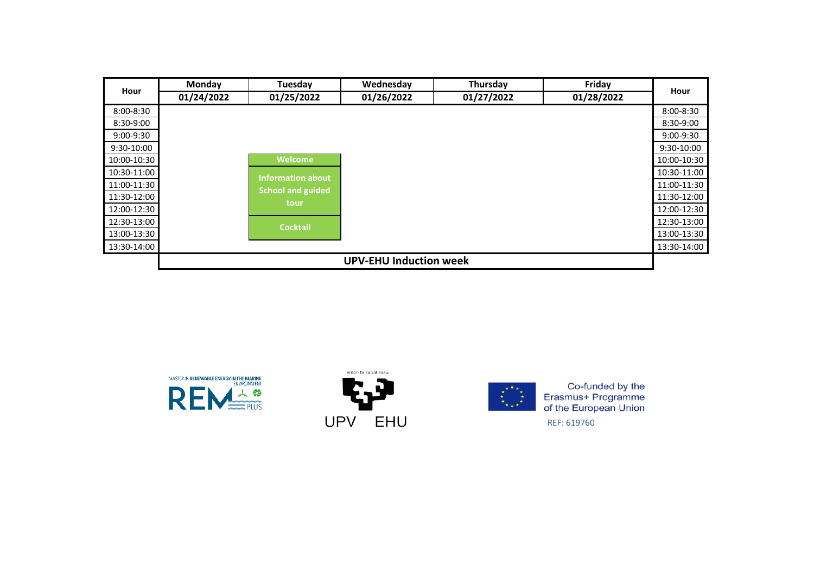| Hour        | Monday     | Tuesday                  | Wednesday                     | Thursday   | Friday     |             |
|-------------|------------|--------------------------|-------------------------------|------------|------------|-------------|
|             | 01/24/2022 | 01/25/2022               | 01/26/2022                    | 01/27/2022 | 01/28/2022 | Hour        |
| 8:00-8:30   |            |                          |                               |            |            | 8:00-8:30   |
| 8:30-9:00   |            |                          |                               |            |            | 8:30-9:00   |
| 9:00-9:30   |            |                          |                               |            |            | 9:00-9:30   |
| 9:30-10:00  |            |                          |                               |            |            | 9:30-10:00  |
| 10:00-10:30 |            | Welcome                  |                               |            |            | 10:00-10:30 |
| 10:30-11:00 |            | <b>Information about</b> |                               |            |            | 10:30-11:00 |
| 11:00-11:30 |            | <b>School and guided</b> |                               |            |            | 11:00-11:30 |
| 11:30-12:00 |            | tour                     |                               |            |            | 11:30-12:00 |
| 12:00-12:30 |            |                          |                               |            |            | 12:00-12:30 |
| 12:30-13:00 |            | <b>Cocktail</b>          |                               |            |            | 12:30-13:00 |
| 13:00-13:30 |            |                          |                               |            |            | 13:00-13:30 |
| 13:30-14:00 |            |                          |                               |            |            | 13:30-14:00 |
|             |            |                          | <b>UPV-EHU Induction week</b> |            |            |             |





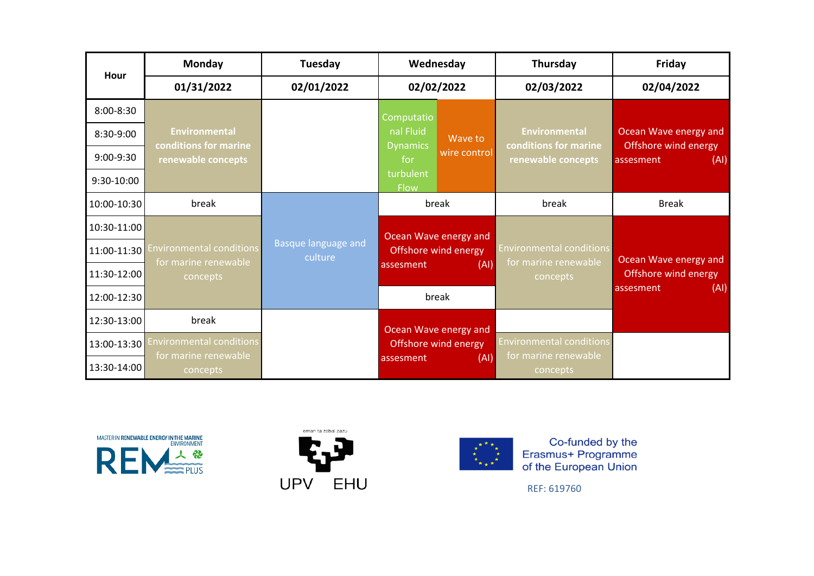| Hour        | Monday                                      | Tuesday                        | Wednesday                              | Thursday                                                | Friday                                    |
|-------------|---------------------------------------------|--------------------------------|----------------------------------------|---------------------------------------------------------|-------------------------------------------|
|             | 01/31/2022                                  | 02/01/2022                     | 02/02/2022                             | 02/03/2022                                              | 02/04/2022                                |
| 8:00-8:30   |                                             |                                | Computatio                             |                                                         |                                           |
| 8:30-9:00   | <b>Environmental</b>                        |                                | nal Fluid<br>Wave to                   | <b>Environmental</b><br>conditions for marine           | Ocean Wave energy and                     |
| 9:00-9:30   | conditions for marine<br>renewable concepts |                                | <b>Dynamics</b><br>wire control<br>for | renewable concepts                                      | Offshore wind energy<br>(AI)<br>assesment |
| 9:30-10:00  |                                             |                                | turbulent<br><b>Flow</b>               |                                                         |                                           |
| 10:00-10:30 | break                                       |                                | break                                  | break                                                   | <b>Break</b>                              |
| 10:30-11:00 |                                             |                                | Ocean Wave energy and                  |                                                         |                                           |
| 11:00-11:30 | <b>Environmental conditions</b>             | Basque language and<br>culture | Offshore wind energy                   | <b>Environmental conditions</b><br>for marine renewable | Ocean Wave energy and                     |
| 11:30-12:00 | for marine renewable<br>concepts            |                                | (AI)<br>assesment                      | concepts                                                | Offshore wind energy                      |
| 12:00-12:30 |                                             |                                | break                                  |                                                         | (AI)<br>assesment                         |
| 12:30-13:00 | break                                       |                                | Ocean Wave energy and                  |                                                         |                                           |
| 13:00-13:30 | invironmental conditions                    |                                | Offshore wind energy                   | <b>Environmental conditions</b>                         |                                           |
| 13:30-14:00 | for marine renewable<br>concepts            |                                | (AI)<br>assesment                      | for marine renewable<br>concepts                        |                                           |





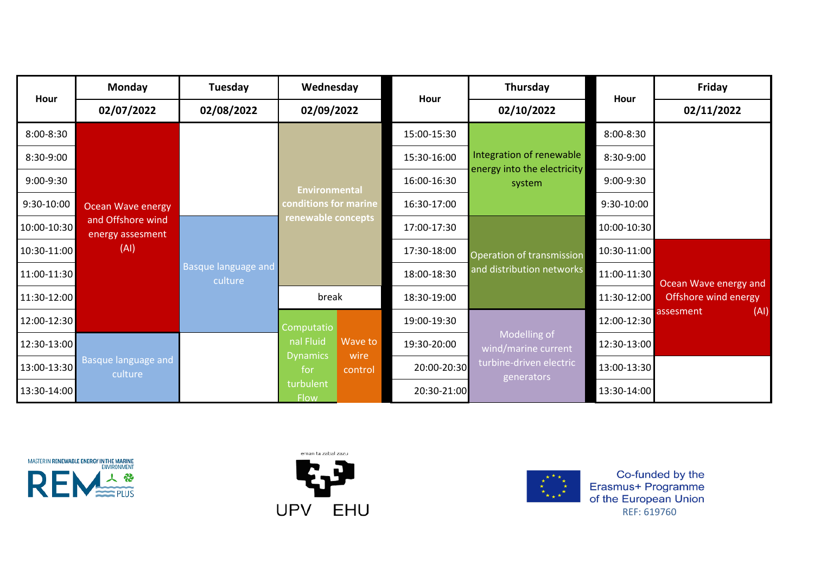| Hour        | <b>Monday</b>                         | Tuesday                               | Wednesday                                            |                 | Hour        | Thursday                                                          | Hour        | <b>Friday</b>         |
|-------------|---------------------------------------|---------------------------------------|------------------------------------------------------|-----------------|-------------|-------------------------------------------------------------------|-------------|-----------------------|
|             | 02/07/2022                            | 02/08/2022                            | 02/09/2022                                           |                 |             | 02/10/2022                                                        |             | 02/11/2022            |
| 8:00-8:30   |                                       |                                       |                                                      |                 | 15:00-15:30 |                                                                   | 8:00-8:30   |                       |
| 8:30-9:00   |                                       |                                       |                                                      |                 | 15:30-16:00 | Integration of renewable<br>energy into the electricity<br>system | 8:30-9:00   |                       |
| 9:00-9:30   |                                       |                                       | <b>Environmental</b>                                 |                 | 16:00-16:30 |                                                                   | 9:00-9:30   |                       |
| 9:30-10:00  | <b>Ocean Wave energy</b>              |                                       | conditions for marine<br>renewable concepts<br>break |                 | 16:30-17:00 |                                                                   | 9:30-10:00  |                       |
| 10:00-10:30 | and Offshore wind<br>energy assesment | <b>Basque language and</b><br>culture |                                                      |                 | 17:00-17:30 | Operation of transmission                                         | 10:00-10:30 |                       |
| 10:30-11:00 | (AI)                                  |                                       |                                                      |                 | 17:30-18:00 |                                                                   | 10:30-11:00 | Ocean Wave energy and |
| 11:00-11:30 |                                       |                                       |                                                      |                 | 18:00-18:30 | and distribution networks                                         | 11:00-11:30 |                       |
| 11:30-12:00 |                                       |                                       |                                                      |                 | 18:30-19:00 |                                                                   | 11:30-12:00 | Offshore wind energy  |
| 12:00-12:30 |                                       |                                       | Computatio                                           |                 | 19:00-19:30 |                                                                   | 12:00-12:30 | (AI)<br>assesment     |
| 12:30-13:00 |                                       |                                       | nal Fluid                                            | Wave to         | 19:30-20:00 | Modelling of<br>wind/marine current                               | 12:30-13:00 |                       |
| 13:00-13:30 | <b>Basque language and</b><br>culture |                                       | <b>Dynamics</b><br>for                               | wire<br>control | 20:00-20:30 | turbine-driven electric<br>generators                             | 13:00-13:30 |                       |
| 13:30-14:00 |                                       |                                       | turbulent<br><b>Flow</b>                             |                 | 20:30-21:00 |                                                                   | 13:30-14:00 |                       |





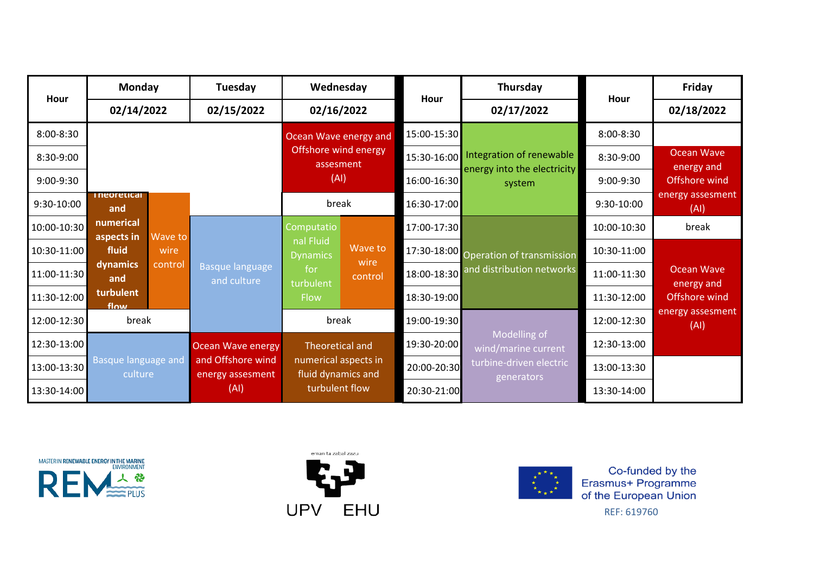| Hour        | <b>Monday</b>                  |                                       | Tuesday                  | Wednesday                            |             | Hour                    | Thursday                              | Hour          | Friday                      |      |  |             |  |             |               |                                |                              |                 |             |                                       |             |                          |
|-------------|--------------------------------|---------------------------------------|--------------------------|--------------------------------------|-------------|-------------------------|---------------------------------------|---------------|-----------------------------|------|--|-------------|--|-------------|---------------|--------------------------------|------------------------------|-----------------|-------------|---------------------------------------|-------------|--------------------------|
|             | 02/14/2022                     |                                       | 02/15/2022               | 02/16/2022                           |             |                         | 02/17/2022                            |               | 02/18/2022                  |      |  |             |  |             |               |                                |                              |                 |             |                                       |             |                          |
| 8:00-8:30   |                                |                                       |                          | Ocean Wave energy and                |             | 15:00-15:30             |                                       | $8:00 - 8:30$ |                             |      |  |             |  |             |               |                                |                              |                 |             |                                       |             |                          |
| 8:30-9:00   |                                |                                       |                          | Offshore wind energy<br>assesment    |             | 15:30-16:00             | Integration of renewable              | 8:30-9:00     | <b>Ocean Wave</b>           |      |  |             |  |             |               |                                |                              |                 |             |                                       |             |                          |
| 9:00-9:30   |                                |                                       |                          | (AI)                                 |             | 16:00-16:30             | energy into the electricity<br>system | 9:00-9:30     | energy and<br>Offshore wind |      |  |             |  |             |               |                                |                              |                 |             |                                       |             |                          |
| 9:30-10:00  | <i>i</i> neoretical<br>and     |                                       |                          | break                                |             | 16:30-17:00             |                                       | 9:30-10:00    | energy assesment<br>(AI)    |      |  |             |  |             |               |                                |                              |                 |             |                                       |             |                          |
| 10:00-10:30 | numerical<br>aspects in        | Wave to                               |                          | Computatio                           |             | 17:00-17:30             |                                       | 10:00-10:30   | break                       |      |  |             |  |             |               |                                |                              |                 |             |                                       |             |                          |
| 10:30-11:00 | fluid                          | wire<br>control                       |                          |                                      |             |                         |                                       |               |                             |      |  |             |  |             |               |                                | nal Fluid<br><b>Dynamics</b> | Wave to         |             | 17:30-18:00 Operation of transmission | 10:30-11:00 |                          |
| 11:00-11:30 | dynamics<br>and                |                                       |                          |                                      |             |                         |                                       |               |                             |      |  |             |  |             |               | Basque language<br>and culture | for<br>turbulent             | wire<br>control | 18:00-18:30 | and distribution networks             | 11:00-11:30 | Ocean Wave<br>energy and |
| 11:30-12:00 | turbulent<br>flow              |                                       |                          |                                      |             |                         |                                       |               |                             | Flow |  | 18:30-19:00 |  | 11:30-12:00 | Offshore wind |                                |                              |                 |             |                                       |             |                          |
| 12:00-12:30 | break                          |                                       |                          | break                                |             | 19:00-19:30             |                                       | 12:00-12:30   | energy assesment<br>(AI)    |      |  |             |  |             |               |                                |                              |                 |             |                                       |             |                          |
| 12:30-13:00 |                                |                                       | <b>Ocean Wave energy</b> | <b>Theoretical and</b>               |             | 19:30-20:00             | Modelling of<br>wind/marine current   | 12:30-13:00   |                             |      |  |             |  |             |               |                                |                              |                 |             |                                       |             |                          |
| 13:00-13:30 | Basque language and<br>culture | and Offshore wind<br>energy assesment | numerical aspects in     |                                      | 20:00-20:30 | turbine-driven electric | 13:00-13:30                           |               |                             |      |  |             |  |             |               |                                |                              |                 |             |                                       |             |                          |
| 13:30-14:00 |                                |                                       | (AI)                     | fluid dynamics and<br>turbulent flow |             | 20:30-21:00             | generators                            | 13:30-14:00   |                             |      |  |             |  |             |               |                                |                              |                 |             |                                       |             |                          |





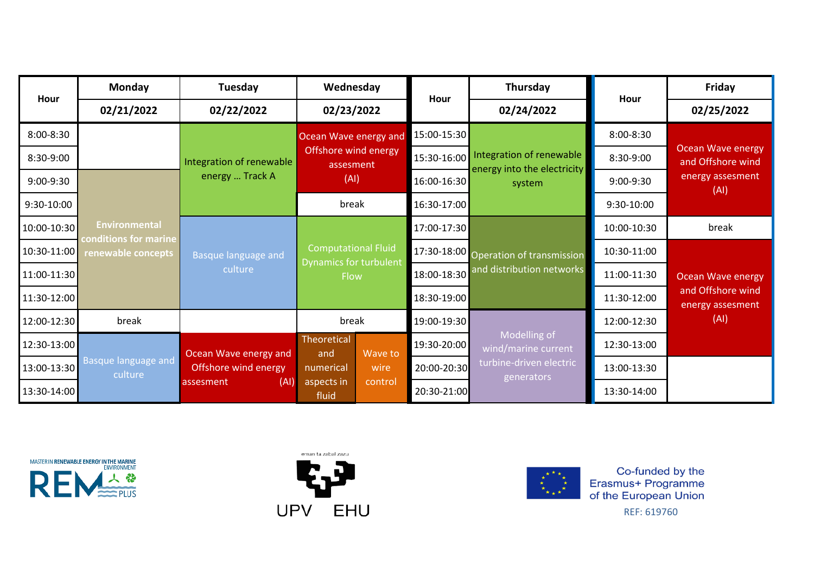| Hour        | Monday                                      | Tuesday                  | Wednesday                         | Hour        | Thursday                                                           | Hour        | Friday                                                            |  |
|-------------|---------------------------------------------|--------------------------|-----------------------------------|-------------|--------------------------------------------------------------------|-------------|-------------------------------------------------------------------|--|
|             | 02/21/2022                                  | 02/22/2022               | 02/23/2022                        |             | 02/24/2022                                                         |             | 02/25/2022                                                        |  |
| 8:00-8:30   |                                             |                          | Ocean Wave energy and             | 15:00-15:30 |                                                                    | 8:00-8:30   |                                                                   |  |
| 8:30-9:00   |                                             | Integration of renewable | Offshore wind energy<br>assesment | 15:30-16:00 | Integration of renewable<br>energy into the electricity<br>system  | 8:30-9:00   | <b>Ocean Wave energy</b><br>and Offshore wind<br>energy assesment |  |
| 9:00-9:30   |                                             | energy  Track A          | (AI)                              | 16:00-16:30 |                                                                    | 9:00-9:30   |                                                                   |  |
| 9:30-10:00  |                                             |                          | break                             | 16:30-17:00 |                                                                    | 9:30-10:00  | (AI)                                                              |  |
| 10:00-10:30 | <b>Environmental</b>                        |                          |                                   | 17:00-17:30 | 17:30-18:00 Operation of transmission<br>and distribution networks | 10:00-10:30 | break                                                             |  |
| 10:30-11:00 | conditions for marine<br>renewable concepts | Basque language and      | <b>Computational Fluid</b>        |             |                                                                    | 10:30-11:00 | <b>Ocean Wave energy</b><br>and Offshore wind<br>energy assesment |  |
| 11:00-11:30 |                                             | culture                  | Dynamics for turbulent<br>Flow    | 18:00-18:30 |                                                                    | 11:00-11:30 |                                                                   |  |
| 11:30-12:00 |                                             |                          |                                   | 18:30-19:00 |                                                                    | 11:30-12:00 |                                                                   |  |
| 12:00-12:30 | break                                       |                          | break                             | 19:00-19:30 |                                                                    | 12:00-12:30 | (AI)                                                              |  |
| 12:30-13:00 |                                             | Ocean Wave energy and    | Theoretical<br>Wave to<br>and     | 19:30-20:00 | Modelling of<br>wind/marine current                                | 12:30-13:00 |                                                                   |  |
| 13:00-13:30 | Basque language and<br>culture              | Offshore wind energy     | wire<br>numerical                 | 20:00-20:30 | turbine-driven electric<br>generators                              | 13:00-13:30 |                                                                   |  |
| 13:30-14:00 |                                             | (AI)<br>assesment        | aspects in<br>control<br>fluid    | 20:30-21:00 |                                                                    | 13:30-14:00 |                                                                   |  |





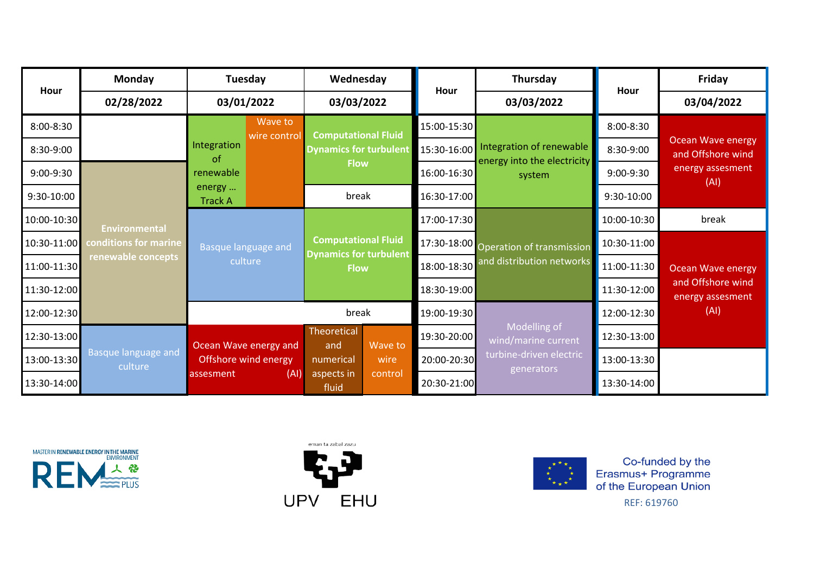| Hour        | <b>Monday</b>                  | Tuesday                  | Wednesday                                                   | Hour        | Thursday                              | Hour        | Friday                                        |
|-------------|--------------------------------|--------------------------|-------------------------------------------------------------|-------------|---------------------------------------|-------------|-----------------------------------------------|
|             | 02/28/2022                     | 03/01/2022               | 03/03/2022                                                  |             | 03/03/2022                            |             | 03/04/2022                                    |
| 8:00-8:30   |                                | Wave to<br>wire control  | <b>Computational Fluid</b>                                  | 15:00-15:30 |                                       | 8:00-8:30   |                                               |
| 8:30-9:00   |                                | Integration<br>of        | <b>Dynamics for turbulent</b>                               | 15:30-16:00 | Integration of renewable              | 8:30-9:00   | <b>Ocean Wave energy</b><br>and Offshore wind |
| 9:00-9:30   |                                | renewable                | <b>Flow</b>                                                 | 16:00-16:30 | energy into the electricity<br>system | 9:00-9:30   | energy assesment<br>(AI)                      |
| 9:30-10:00  |                                | energy<br><b>Track A</b> | break                                                       | 16:30-17:00 |                                       | 9:30-10:00  |                                               |
| 10:00-10:30 | <b>Environmental</b>           |                          |                                                             | 17:00-17:30 |                                       | 10:00-10:30 | break                                         |
| 10:30-11:00 | conditions for marine          | Basque language and      | <b>Computational Fluid</b><br><b>Dynamics for turbulent</b> |             | 17:30-18:00 Operation of transmission | 10:30-11:00 |                                               |
| 11:00-11:30 | renewable concepts             | culture                  | <b>Flow</b>                                                 | 18:00-18:30 | and distribution networks             | 11:00-11:30 | Ocean Wave energy                             |
| 11:30-12:00 |                                |                          |                                                             | 18:30-19:00 |                                       | 11:30-12:00 | and Offshore wind<br>energy assesment         |
| 12:00-12:30 |                                |                          | break                                                       | 19:00-19:30 |                                       | 12:00-12:30 | (AI)                                          |
| 12:30-13:00 |                                | Ocean Wave energy and    | Theoretical<br>Wave to<br>and                               | 19:30-20:00 | Modelling of<br>wind/marine current   | 12:30-13:00 |                                               |
| 13:00-13:30 | Basque language and<br>culture | Offshore wind energy     | wire<br>numerical                                           | 20:00-20:30 | turbine-driven electric<br>generators | 13:00-13:30 |                                               |
| 13:30-14:00 |                                | (AI)<br>assesment        | aspects in<br>control<br>fluid                              | 20:30-21:00 |                                       | 13:30-14:00 |                                               |





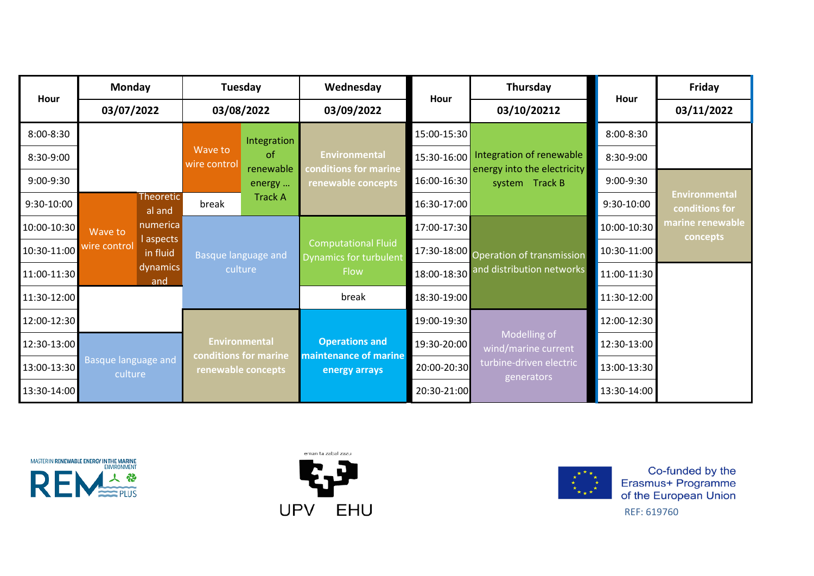| Hour        | <b>Monday</b>                         |                                             | Tuesday                                               |                       | Wednesday                                            | Hour                                | Thursday                                      | Hour        | <b>Friday</b>                          |
|-------------|---------------------------------------|---------------------------------------------|-------------------------------------------------------|-----------------------|------------------------------------------------------|-------------------------------------|-----------------------------------------------|-------------|----------------------------------------|
|             | 03/07/2022                            |                                             | 03/08/2022                                            |                       | 03/09/2022                                           |                                     | 03/10/20212                                   |             | 03/11/2022                             |
| 8:00-8:30   |                                       |                                             |                                                       | Integration           |                                                      | 15:00-15:30                         |                                               | 8:00-8:30   |                                        |
| 8:30-9:00   |                                       |                                             | Wave to<br><sub>of</sub><br>wire control<br>renewable |                       | <b>Environmental</b>                                 | 15:30-16:00                         | Integration of renewable                      | 8:30-9:00   |                                        |
| 9:00-9:30   |                                       |                                             |                                                       | energy                | conditions for marine<br>renewable concepts          | 16:00-16:30                         | energy into the electricity<br>system Track B | 9:00-9:30   |                                        |
| 9:30-10:00  |                                       | <b>Theoretic</b><br>al and                  | break                                                 | <b>Track A</b>        |                                                      | 16:30-17:00                         |                                               | 9:30-10:00  | <b>Environmental</b><br>conditions for |
| 10:00-10:30 | Wave to                               | numerica                                    |                                                       |                       |                                                      | 17:00-17:30                         |                                               | 10:00-10:30 | marine renewable<br>concepts           |
| 10:30-11:00 | wire control                          | l aspects<br>in fluid                       | <b>Basque language and</b>                            |                       | <b>Computational Fluid</b><br>Dynamics for turbulent |                                     | 17:30-18:00 Operation of transmission         | 10:30-11:00 |                                        |
| 11:00-11:30 |                                       | dynamics<br>and                             | culture                                               |                       | Flow                                                 | 18:00-18:30                         | and distribution networks                     | 11:00-11:30 |                                        |
| 11:30-12:00 |                                       |                                             |                                                       |                       | break                                                | 18:30-19:00                         |                                               | 11:30-12:00 |                                        |
| 12:00-12:30 |                                       |                                             |                                                       |                       |                                                      | 19:00-19:30                         |                                               | 12:00-12:30 |                                        |
| 12:30-13:00 | <b>Basque language and</b><br>culture | <b>Environmental</b>                        |                                                       | <b>Operations and</b> | 19:30-20:00                                          | Modelling of<br>wind/marine current | 12:30-13:00                                   |             |                                        |
| 13:00-13:30 |                                       | conditions for marine<br>renewable concepts |                                                       |                       | maintenance of marine<br>energy arrays               | 20:00-20:30                         | turbine-driven electric<br>generators         | 13:00-13:30 |                                        |
| 13:30-14:00 |                                       |                                             |                                                       |                       |                                                      | 20:30-21:00                         |                                               | 13:30-14:00 |                                        |





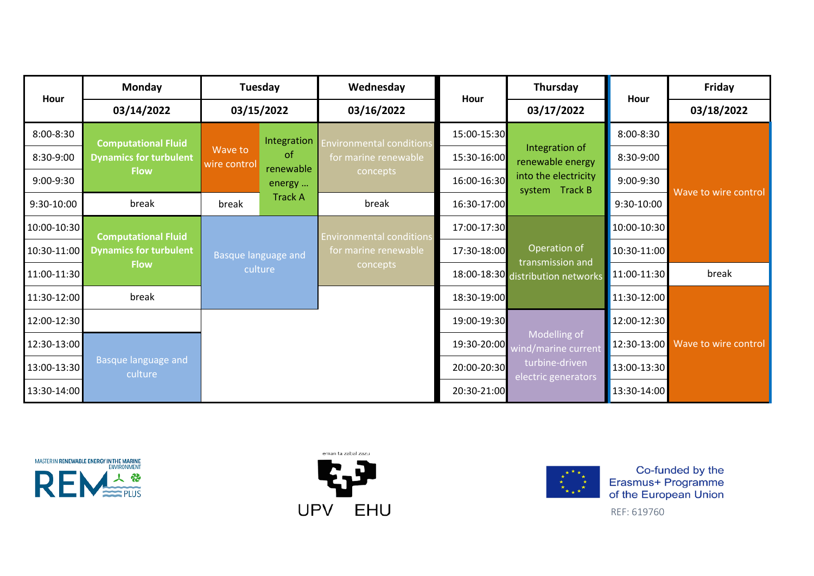| Hour        | <b>Monday</b>                  |                         | Tuesday             | Wednesday                        | Hour        | Thursday                                              | Hour        | Friday               |  |
|-------------|--------------------------------|-------------------------|---------------------|----------------------------------|-------------|-------------------------------------------------------|-------------|----------------------|--|
|             | 03/14/2022                     |                         | 03/15/2022          | 03/16/2022                       |             | 03/17/2022                                            |             | 03/18/2022           |  |
| 8:00-8:30   | <b>Computational Fluid</b>     |                         | Integration         | nvironmental conditions          | 15:00-15:30 |                                                       | 8:00-8:30   |                      |  |
| 8:30-9:00   | <b>Dynamics for turbulent</b>  | Wave to<br>wire control | <sub>of</sub>       | for marine renewable<br>concepts | 15:30-16:00 | Integration of<br>renewable energy                    | 8:30-9:00   |                      |  |
| 9:00-9:30   | <b>Flow</b>                    |                         | renewable<br>energy |                                  | 16:00-16:30 | into the electricity<br>system Track B                | 9:00-9:30   |                      |  |
| 9:30-10:00  | break                          | break                   | <b>Track A</b>      | break                            | 16:30-17:00 |                                                       | 9:30-10:00  | Wave to wire control |  |
| 10:00-10:30 | <b>Computational Fluid</b>     |                         |                     | Invironmental conditions         | 17:00-17:30 |                                                       | 10:00-10:30 |                      |  |
| 10:30-11:00 | <b>Dynamics for turbulent</b>  | Basque language and     |                     | for marine renewable             | 17:30-18:00 | Operation of                                          | 10:30-11:00 |                      |  |
| 11:00-11:30 | <b>Flow</b>                    |                         | culture             | concepts                         |             | transmission and<br>18:00-18:30 distribution networks | 11:00-11:30 | break                |  |
| 11:30-12:00 | break                          |                         |                     |                                  | 18:30-19:00 |                                                       | 11:30-12:00 |                      |  |
| 12:00-12:30 |                                |                         |                     |                                  | 19:00-19:30 |                                                       | 12:00-12:30 |                      |  |
| 12:30-13:00 |                                |                         |                     |                                  | 19:30-20:00 | Modelling of<br>wind/marine current                   | 12:30-13:00 | Wave to wire control |  |
| 13:00-13:30 | Basque language and<br>culture |                         |                     |                                  | 20:00-20:30 | turbine-driven<br>electric generators                 | 13:00-13:30 |                      |  |
| 13:30-14:00 |                                |                         |                     |                                  | 20:30-21:00 |                                                       | 13:30-14:00 |                      |  |





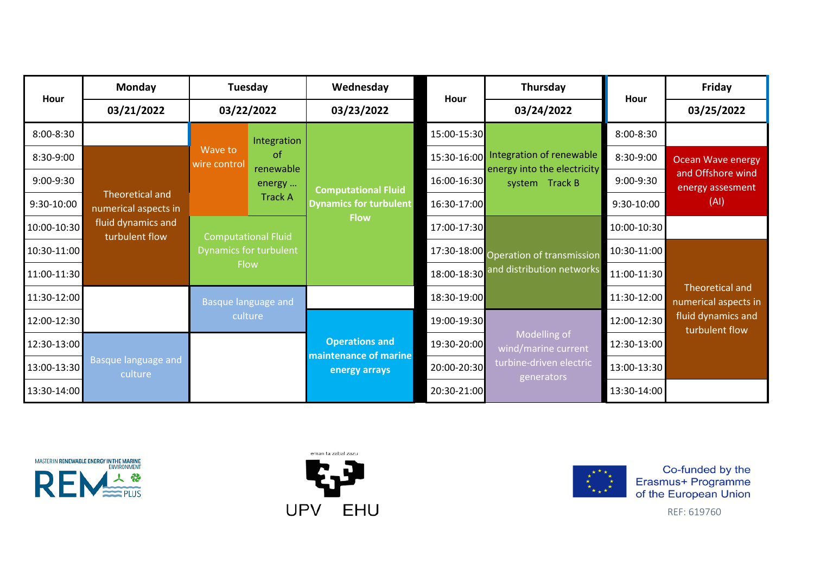| Hour        | <b>Monday</b>                           |                         | Tuesday<br>03/22/2022<br>Integration<br><sub>of</sub><br>renewable<br>energy<br><b>Track A</b><br><b>Computational Fluid</b> | Wednesday                                                   | Hour        | Thursday                                                           | Hour        | Friday                                  |  |
|-------------|-----------------------------------------|-------------------------|------------------------------------------------------------------------------------------------------------------------------|-------------------------------------------------------------|-------------|--------------------------------------------------------------------|-------------|-----------------------------------------|--|
|             | 03/21/2022                              |                         |                                                                                                                              | 03/23/2022                                                  |             | 03/24/2022                                                         |             | 03/25/2022                              |  |
| 8:00-8:30   |                                         |                         |                                                                                                                              |                                                             | 15:00-15:30 |                                                                    | 8:00-8:30   |                                         |  |
| 8:30-9:00   |                                         | Wave to<br>wire control |                                                                                                                              |                                                             | 15:30-16:00 | Integration of renewable<br>energy into the electricity            | 8:30-9:00   | <b>Ocean Wave energy</b>                |  |
| 9:00-9:30   |                                         |                         |                                                                                                                              |                                                             | 16:00-16:30 | system Track B                                                     | 9:00-9:30   | and Offshore wind<br>energy assesment   |  |
| 9:30-10:00  | Theoretical and<br>numerical aspects in |                         |                                                                                                                              | <b>Computational Fluid</b><br><b>Dynamics for turbulent</b> | 16:30-17:00 |                                                                    | 9:30-10:00  | (AI)                                    |  |
| 10:00-10:30 | fluid dynamics and<br>turbulent flow    |                         |                                                                                                                              | <b>Flow</b>                                                 | 17:00-17:30 | 17:30-18:00 Operation of transmission<br>and distribution networks | 10:00-10:30 |                                         |  |
| 10:30-11:00 |                                         |                         | <b>Dynamics for turbulent</b>                                                                                                |                                                             |             |                                                                    | 10:30-11:00 |                                         |  |
| 11:00-11:30 |                                         |                         | <b>Flow</b>                                                                                                                  |                                                             | 18:00-18:30 |                                                                    | 11:00-11:30 |                                         |  |
| 11:30-12:00 |                                         |                         | <b>Basque language and</b>                                                                                                   |                                                             | 18:30-19:00 |                                                                    | 11:30-12:00 | Theoretical and<br>numerical aspects in |  |
| 12:00-12:30 |                                         |                         | culture                                                                                                                      |                                                             | 19:00-19:30 |                                                                    | 12:00-12:30 | fluid dynamics and<br>turbulent flow    |  |
| 12:30-13:00 |                                         |                         |                                                                                                                              | <b>Operations and</b>                                       | 19:30-20:00 | Modelling of<br>wind/marine current                                | 12:30-13:00 |                                         |  |
| 13:00-13:30 | <b>Basque language and</b><br>culture   |                         |                                                                                                                              | maintenance of marine<br>energy arrays                      | 20:00-20:30 | turbine-driven electric<br>generators                              | 13:00-13:30 |                                         |  |
| 13:30-14:00 |                                         |                         |                                                                                                                              |                                                             | 20:30-21:00 |                                                                    | 13:30-14:00 |                                         |  |





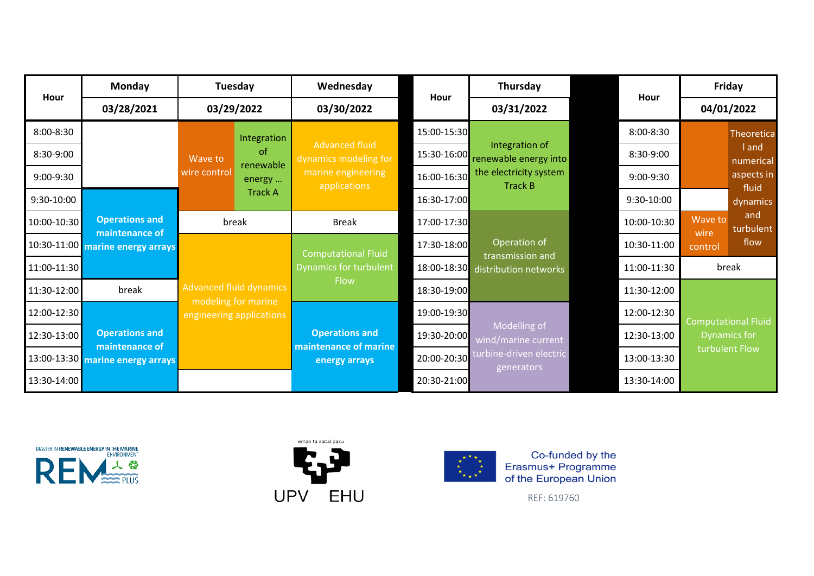| Hour        | <b>Monday</b>                                      |              | Tuesday                                                | Wednesday                                                                            | Hour        | Thursday                                                                            |  | Hour        |             | Friday                     |       |
|-------------|----------------------------------------------------|--------------|--------------------------------------------------------|--------------------------------------------------------------------------------------|-------------|-------------------------------------------------------------------------------------|--|-------------|-------------|----------------------------|-------|
|             | 03/28/2021                                         |              | 03/29/2022                                             | 03/30/2022                                                                           |             | 03/31/2022                                                                          |  |             | 04/01/2022  |                            |       |
| 8:00-8:30   |                                                    |              | Integration                                            |                                                                                      | 15:00-15:30 |                                                                                     |  | 8:00-8:30   |             | <b>Theoretica</b>          |       |
| 8:30-9:00   |                                                    | Wave to      | <sub>of</sub><br>renewable<br>energy<br><b>Track A</b> | <b>Advanced fluid</b><br>dynamics modeling for<br>marine engineering<br>applications | 15:30-16:00 | Integration of<br>renewable energy into<br>the electricity system<br><b>Track B</b> |  | 8:30-9:00   |             | I and<br>numerical         |       |
| 9:00-9:30   |                                                    | wire control |                                                        |                                                                                      | 16:00-16:30 |                                                                                     |  | $9:00-9:30$ |             | aspects in                 |       |
| 9:30-10:00  |                                                    |              |                                                        |                                                                                      | 16:30-17:00 |                                                                                     |  | 9:30-10:00  |             | fluid<br>dynamics          |       |
| 10:00-10:30 | <b>Operations and</b>                              |              | break                                                  | <b>Break</b>                                                                         | 17:00-17:30 | Operation of<br>transmission and<br>distribution networks                           |  | 10:00-10:30 | Wave to     | and<br>turbulent           |       |
|             | maintenance of<br>10:30-11:00 marine energy arrays |              |                                                        | <b>Computational Fluid</b><br><b>Dynamics for turbulent</b>                          | 17:30-18:00 |                                                                                     |  |             | 10:30-11:00 | wire<br>control            | flow  |
| 11:00-11:30 |                                                    |              |                                                        |                                                                                      | 18:00-18:30 |                                                                                     |  |             | 11:00-11:30 |                            | break |
| 11:30-12:00 | break                                              |              | <b>Advanced fluid dynamics</b>                         | Flow                                                                                 | 18:30-19:00 |                                                                                     |  | 11:30-12:00 |             |                            |       |
| 12:00-12:30 |                                                    |              | modeling for marine<br>engineering applications        |                                                                                      | 19:00-19:30 |                                                                                     |  | 12:00-12:30 |             | <b>Computational Fluid</b> |       |
| 12:30-13:00 | <b>Operations and</b>                              |              |                                                        | <b>Operations and</b>                                                                | 19:30-20:00 | Modelling of<br>wind/marine current                                                 |  | 12:30-13:00 |             | <b>Dynamics for</b>        |       |
|             | maintenance of<br>13:00-13:30 marine energy arrays |              |                                                        | maintenance of marine<br>energy arrays                                               | 20:00-20:30 | turbine-driven electric<br>generators                                               |  | 13:00-13:30 |             | turbulent Flow             |       |
| 13:30-14:00 |                                                    |              |                                                        |                                                                                      | 20:30-21:00 |                                                                                     |  | 13:30-14:00 |             |                            |       |





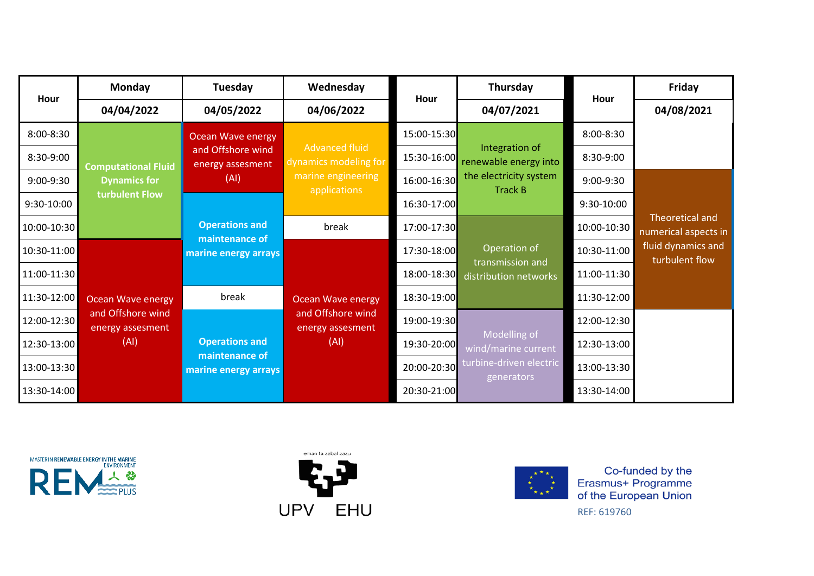| Hour        | <b>Monday</b>                         | Tuesday                                 | Wednesday                                      | Hour        | Thursday                                  | Hour        | Friday                                  |
|-------------|---------------------------------------|-----------------------------------------|------------------------------------------------|-------------|-------------------------------------------|-------------|-----------------------------------------|
|             | 04/04/2022                            | 04/05/2022                              | 04/06/2022                                     |             | 04/07/2021                                |             | 04/08/2021                              |
| 8:00-8:30   |                                       | <b>Ocean Wave energy</b>                |                                                | 15:00-15:30 |                                           | 8:00-8:30   |                                         |
| 8:30-9:00   | <b>Computational Fluid</b>            | and Offshore wind<br>energy assesment   | <b>Advanced fluid</b><br>dynamics modeling for | 15:30-16:00 | Integration of<br>renewable energy into   | 8:30-9:00   |                                         |
| 9:00-9:30   | <b>Dynamics for</b>                   | (AI)                                    | marine engineering<br>applications             | 16:00-16:30 | the electricity system<br><b>Track B</b>  | 9:00-9:30   |                                         |
| 9:30-10:00  | turbulent Flow                        |                                         |                                                | 16:30-17:00 |                                           | 9:30-10:00  |                                         |
| 10:00-10:30 |                                       | <b>Operations and</b><br>maintenance of | break                                          | 17:00-17:30 |                                           | 10:00-10:30 | Theoretical and<br>numerical aspects in |
| 10:30-11:00 |                                       | marine energy arrays                    |                                                | 17:30-18:00 | Operation of                              | 10:30-11:00 | fluid dynamics and<br>turbulent flow    |
| 11:00-11:30 |                                       |                                         |                                                | 18:00-18:30 | transmission and<br>distribution networks | 11:00-11:30 |                                         |
| 11:30-12:00 | <b>Ocean Wave energy</b>              | break                                   | <b>Ocean Wave energy</b>                       | 18:30-19:00 |                                           | 11:30-12:00 |                                         |
| 12:00-12:30 | and Offshore wind<br>energy assesment |                                         | and Offshore wind<br>energy assesment          | 19:00-19:30 |                                           | 12:00-12:30 |                                         |
| 12:30-13:00 | (AI)                                  | <b>Operations and</b>                   | (AI)                                           | 19:30-20:00 | Modelling of<br>wind/marine current       | 12:30-13:00 |                                         |
| 13:00-13:30 |                                       | maintenance of<br>marine energy arrays  |                                                | 20:00-20:30 | turbine-driven electric<br>generators     | 13:00-13:30 |                                         |
| 13:30-14:00 |                                       |                                         |                                                | 20:30-21:00 |                                           | 13:30-14:00 |                                         |





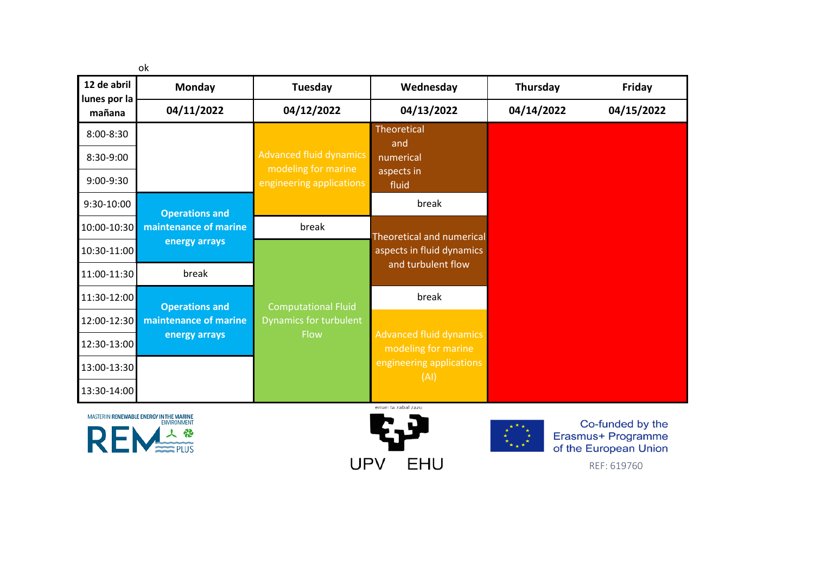|                             | ok                                                             |                                                      |                                                        |            |                                                                 |
|-----------------------------|----------------------------------------------------------------|------------------------------------------------------|--------------------------------------------------------|------------|-----------------------------------------------------------------|
| 12 de abril<br>lunes por la | Monday                                                         | Tuesday                                              | Wednesday                                              | Thursday   | Friday                                                          |
| mañana                      | 04/11/2022                                                     | 04/12/2022                                           | 04/13/2022                                             | 04/14/2022 | 04/15/2022                                                      |
| 8:00-8:30                   |                                                                |                                                      | <b>Theoretical</b><br>and                              |            |                                                                 |
| 8:30-9:00                   |                                                                | <b>Advanced fluid dynamics</b>                       | numerical                                              |            |                                                                 |
| 9:00-9:30                   |                                                                | modeling for marine<br>engineering applications      | aspects in<br>fluid                                    |            |                                                                 |
| 9:30-10:00                  |                                                                |                                                      | break                                                  |            |                                                                 |
| 10:00-10:30                 | <b>Operations and</b><br>maintenance of marine                 | break                                                |                                                        |            |                                                                 |
| 10:30-11:00                 | energy arrays                                                  |                                                      | Theoretical and numerical<br>aspects in fluid dynamics |            |                                                                 |
| 11:00-11:30                 | break                                                          |                                                      | and turbulent flow                                     |            |                                                                 |
| 11:30-12:00                 |                                                                |                                                      | break                                                  |            |                                                                 |
| 12:00-12:30                 | <b>Operations and</b><br>maintenance of marine                 | <b>Computational Fluid</b><br>Dynamics for turbulent |                                                        |            |                                                                 |
| 12:30-13:00                 | energy arrays                                                  | Flow                                                 | <b>Advanced fluid dynamics</b><br>modeling for marine  |            |                                                                 |
| 13:00-13:30                 |                                                                |                                                      | engineering applications                               |            |                                                                 |
| 13:30-14:00                 |                                                                |                                                      | (AI)                                                   |            |                                                                 |
|                             |                                                                |                                                      | eman ta zabal zazu                                     |            |                                                                 |
|                             | MASTER IN RENEWABLE ENERGY IN THE MARINE<br><b>ENVIRONMENT</b> |                                                      |                                                        |            | Co-funded by the<br>Erasmus+ Programme<br>of the European Union |
|                             |                                                                | UPV                                                  | EHU                                                    |            | REF: 619760                                                     |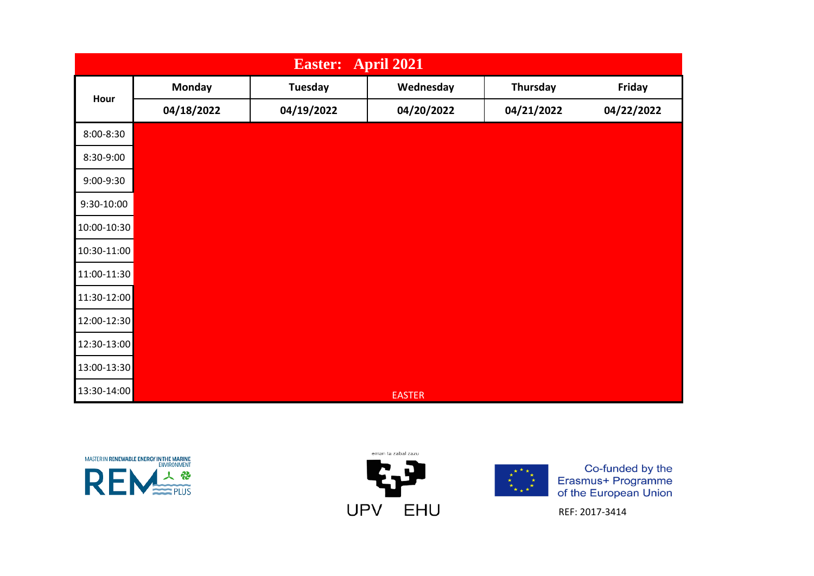|             | <b>April 2021</b><br><b>Easter:</b> |                |               |            |            |  |  |  |  |  |
|-------------|-------------------------------------|----------------|---------------|------------|------------|--|--|--|--|--|
| Hour        | <b>Monday</b>                       | <b>Tuesday</b> | Wednesday     | Thursday   | Friday     |  |  |  |  |  |
|             | 04/18/2022                          | 04/19/2022     | 04/20/2022    | 04/21/2022 | 04/22/2022 |  |  |  |  |  |
| 8:00-8:30   |                                     |                |               |            |            |  |  |  |  |  |
| 8:30-9:00   |                                     |                |               |            |            |  |  |  |  |  |
| 9:00-9:30   |                                     |                |               |            |            |  |  |  |  |  |
| 9:30-10:00  |                                     |                |               |            |            |  |  |  |  |  |
| 10:00-10:30 |                                     |                |               |            |            |  |  |  |  |  |
| 10:30-11:00 |                                     |                |               |            |            |  |  |  |  |  |
| 11:00-11:30 |                                     |                |               |            |            |  |  |  |  |  |
| 11:30-12:00 |                                     |                |               |            |            |  |  |  |  |  |
| 12:00-12:30 |                                     |                |               |            |            |  |  |  |  |  |
| 12:30-13:00 |                                     |                |               |            |            |  |  |  |  |  |
| 13:00-13:30 |                                     |                |               |            |            |  |  |  |  |  |
| 13:30-14:00 |                                     |                | <b>EASTER</b> |            |            |  |  |  |  |  |







REF: 2017-3414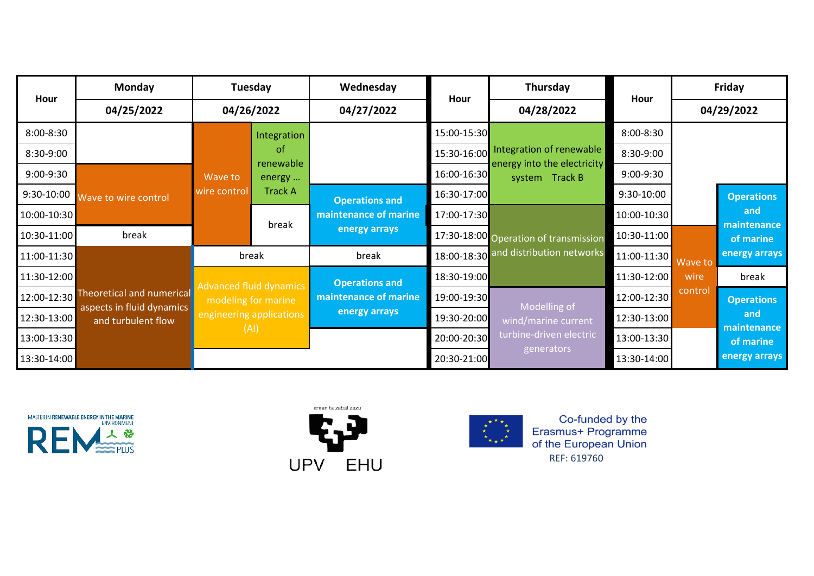| Hour        | Monday                                          |              | Tuesday                        | Wednesday             | Hour        | Thursday                                                |             |            | Friday                   |
|-------------|-------------------------------------------------|--------------|--------------------------------|-----------------------|-------------|---------------------------------------------------------|-------------|------------|--------------------------|
|             | 04/25/2022                                      | 04/26/2022   |                                | 04/27/2022            |             | 04/28/2022                                              | Hour        | 04/29/2022 |                          |
| 8:00-8:30   |                                                 |              | Integration                    |                       | 15:00-15:30 |                                                         | 8:00-8:30   |            |                          |
| 8:30-9:00   |                                                 |              | <sub>of</sub><br>renewable     |                       | 15:30-16:00 | Integration of renewable<br>energy into the electricity | 8:30-9:00   |            |                          |
| 9:00-9:30   |                                                 | Wave to      | energy                         |                       | 16:00-16:30 | system Track B                                          | 9:00-9:30   |            |                          |
| 9:30-10:00  | Wave to wire control                            | wire control | <b>Track A</b>                 | <b>Operations and</b> | 16:30-17:00 |                                                         | 9:30-10:00  |            | <b>Operations</b>        |
| 10:00-10:30 |                                                 | break        |                                | maintenance of marine | 17:00-17:30 |                                                         | 10:00-10:30 |            | and                      |
| 10:30-11:00 | break                                           |              |                                | energy arrays         |             | 17:30-18:00 Operation of transmission                   | 10:30-11:00 |            | maintenance<br>of marine |
| 11:00-11:30 |                                                 |              | break                          | break                 |             | 18:00-18:30 and distribution networks                   | 11:00-11:30 | Wave to    | energy arrays            |
| 11:30-12:00 |                                                 |              | <b>Advanced fluid dynamics</b> | <b>Operations and</b> | 18:30-19:00 |                                                         | 11:30-12:00 | wire       | break                    |
|             | 12:00-12:30 Theoretical and numerical           |              | modeling for marine            | maintenance of marine | 19:00-19:30 | Modelling of                                            | 12:00-12:30 | control    | <b>Operations</b>        |
| 12:30-13:00 | aspects in fluid dynamics<br>and turbulent flow |              | engineering applications       | energy arrays         | 19:30-20:00 | wind/marine current                                     | 12:30-13:00 |            | and                      |
| 13:00-13:30 |                                                 | (AI)         |                                |                       | 20:00-20:30 | turbine-driven electric                                 | 13:00-13:30 |            | maintenance<br>of marine |
| 13:30-14:00 |                                                 |              |                                |                       | 20:30-21:00 | generators                                              | 13:30-14:00 |            | energy arrays            |





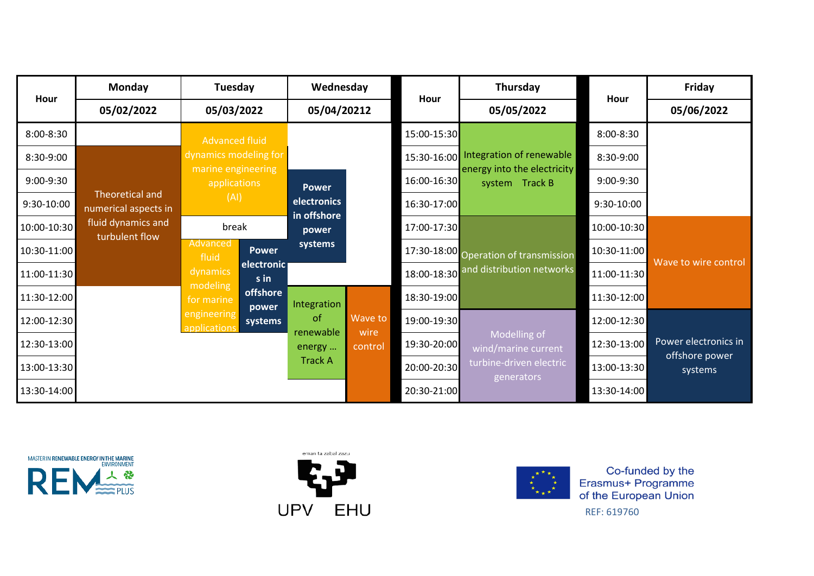| Hour        | <b>Monday</b>                                  |                                    | Tuesday            |                            | Wednesday       | Hour        | Thursday                                      | Hour        | Friday                    |
|-------------|------------------------------------------------|------------------------------------|--------------------|----------------------------|-----------------|-------------|-----------------------------------------------|-------------|---------------------------|
|             | 05/02/2022                                     | 05/03/2022                         |                    | 05/04/20212                |                 |             | 05/05/2022                                    |             | 05/06/2022                |
| 8:00-8:30   |                                                | <b>Advanced fluid</b>              |                    |                            |                 | 15:00-15:30 |                                               | 8:00-8:30   |                           |
| 8:30-9:00   |                                                | dynamics modeling for              |                    |                            |                 | 15:30-16:00 | Integration of renewable                      | 8:30-9:00   |                           |
| 9:00-9:30   |                                                | marine engineering<br>applications |                    | <b>Power</b>               |                 | 16:00-16:30 | energy into the electricity<br>system Track B | 9:00-9:30   |                           |
| 9:30-10:00  | <b>Theoretical and</b><br>numerical aspects in | (AI)                               |                    | electronics<br>in offshore |                 | 16:30-17:00 |                                               | 9:30-10:00  |                           |
| 10:00-10:30 | fluid dynamics and<br>turbulent flow           | break                              |                    | power                      |                 | 17:00-17:30 |                                               | 10:00-10:30 |                           |
| 10:30-11:00 |                                                | Advanced<br>fluid                  | <b>Power</b>       | systems                    |                 |             | 17:30-18:00 Operation of transmission         | 10:30-11:00 |                           |
| 11:00-11:30 |                                                | dynamics                           | electronic<br>s in |                            |                 |             | 18:00-18:30 and distribution networks         | 11:00-11:30 | Wave to wire control      |
| 11:30-12:00 |                                                | modeling<br>for marine             | offshore<br>power  | Integration                |                 | 18:30-19:00 |                                               | 11:30-12:00 |                           |
| 12:00-12:30 |                                                | engineering<br>applications        | systems            | of                         | Wave to         | 19:00-19:30 |                                               | 12:00-12:30 |                           |
| 12:30-13:00 |                                                |                                    |                    | renewable<br>energy        | wire<br>control | 19:30-20:00 | Modelling of<br>wind/marine current           | 12:30-13:00 | Power electronics in      |
| 13:00-13:30 |                                                |                                    |                    | <b>Track A</b>             |                 | 20:00-20:30 | turbine-driven electric<br>generators         | 13:00-13:30 | offshore power<br>systems |
| 13:30-14:00 |                                                |                                    |                    |                            |                 | 20:30-21:00 |                                               | 13:30-14:00 |                           |





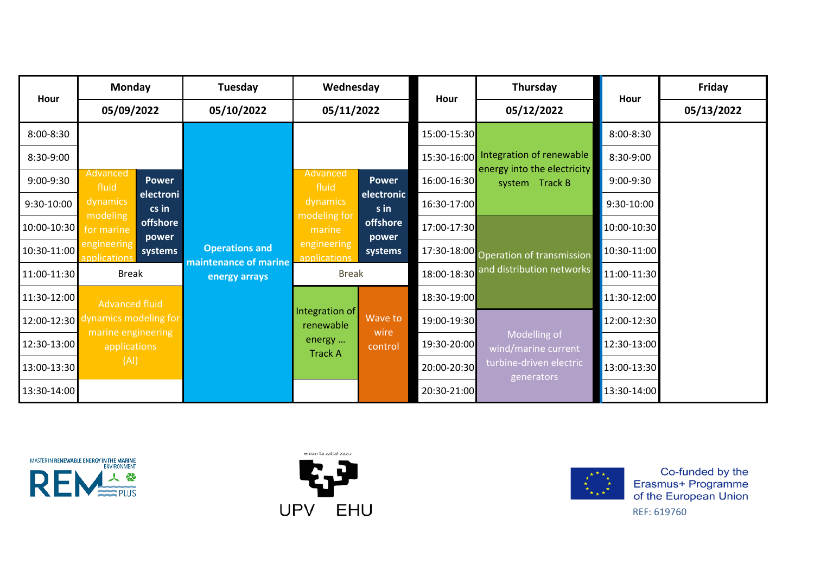| Hour        | <b>Monday</b>                               | Tuesday                                        | Wednesday                   |                    | Hour        | Thursday                                      | Hour                                                 | Friday      |  |
|-------------|---------------------------------------------|------------------------------------------------|-----------------------------|--------------------|-------------|-----------------------------------------------|------------------------------------------------------|-------------|--|
|             | 05/09/2022                                  | 05/10/2022                                     | 05/11/2022                  |                    |             | 05/12/2022                                    |                                                      | 05/13/2022  |  |
| 8:00-8:30   |                                             |                                                |                             |                    | 15:00-15:30 |                                               | 8:00-8:30                                            |             |  |
| 8:30-9:00   |                                             |                                                |                             |                    | 15:30-16:00 | Integration of renewable                      | 8:30-9:00                                            |             |  |
| 9:00-9:30   | Advanced<br><b>Power</b><br>fluid           |                                                | Advanced<br>fluid           | <b>Power</b>       | 16:00-16:30 | energy into the electricity<br>system Track B | 9:00-9:30                                            |             |  |
| 9:30-10:00  | electroni<br>dynamics<br>cs in              |                                                | dynamics                    | electronic<br>s in | 16:30-17:00 |                                               | 9:30-10:00                                           |             |  |
| 10:00-10:30 | modeling<br>offshore<br>for marine<br>power |                                                | modeling for<br>marine      | offshore<br>power  | 17:00-17:30 |                                               | 10:00-10:30                                          |             |  |
| 10:30-11:00 | engineering<br>systems<br>applications      | <b>Operations and</b><br>maintenance of marine | engineering<br>applications | systems            |             | 17:30-18:00 Operation of transmission         | 10:30-11:00                                          |             |  |
| 11:00-11:30 | <b>Break</b>                                | energy arrays                                  | <b>Break</b>                |                    |             | 18:00-18:30 and distribution networks         | 11:00-11:30                                          |             |  |
| 11:30-12:00 | <b>Advanced fluid</b>                       |                                                |                             |                    | 18:30-19:00 |                                               | 11:30-12:00                                          |             |  |
| 12:00-12:30 | mamics modeling for                         |                                                | Integration of<br>renewable | Wave to            | 19:00-19:30 |                                               | 12:00-12:30                                          |             |  |
| 12:30-13:00 | marine engineering<br>applications          |                                                | energy                      | wire<br>control    | 19:30-20:00 | Modelling of<br>wind/marine current           | 12:30-13:00                                          |             |  |
| 13:00-13:30 | (AI)                                        | <b>Track A</b>                                 |                             |                    |             |                                               | turbine-driven electric<br>20:00-20:30<br>generators | 13:00-13:30 |  |
| 13:30-14:00 |                                             |                                                |                             |                    | 20:30-21:00 |                                               | 13:30-14:00                                          |             |  |





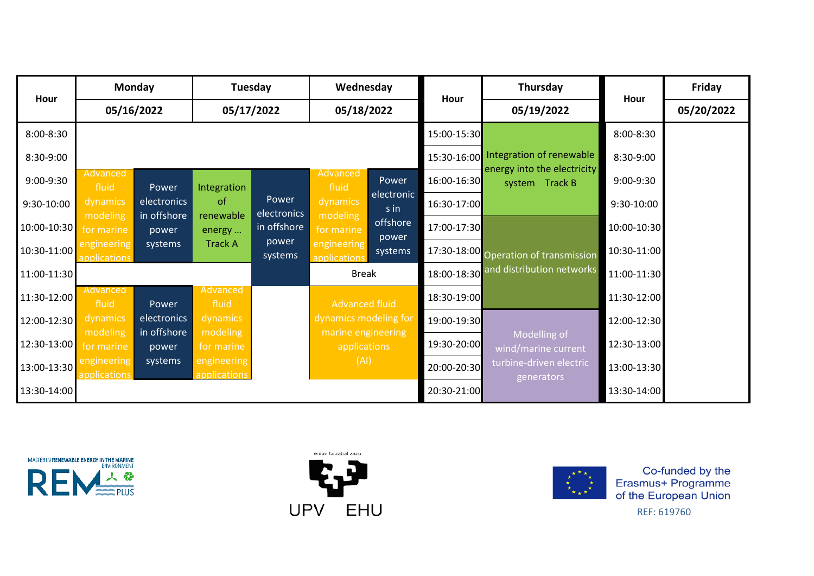| Hour        |                                   | <b>Monday</b>        | Tuesday                     |                      | Wednesday                          |                    |             | Thursday                                      | Hour        | Friday     |
|-------------|-----------------------------------|----------------------|-----------------------------|----------------------|------------------------------------|--------------------|-------------|-----------------------------------------------|-------------|------------|
|             |                                   | 05/16/2022           | 05/17/2022                  |                      | 05/18/2022                         |                    | Hour        | 05/19/2022                                    |             | 05/20/2022 |
| 8:00-8:30   |                                   |                      |                             |                      |                                    |                    | 15:00-15:30 |                                               | 8:00-8:30   |            |
| 8:30-9:00   |                                   |                      |                             |                      |                                    |                    | 15:30-16:00 | Integration of renewable                      | 8:30-9:00   |            |
| 9:00-9:30   | Advanced<br>fluid                 | Power                | Integration                 |                      | Advanced<br>fluid                  | Power              | 16:00-16:30 | energy into the electricity<br>system Track B | 9:00-9:30   |            |
| 9:30-10:00  | dynamics                          | electronics          | <sub>of</sub>               | Power<br>electronics | dynamics                           | electronic<br>s in | 16:30-17:00 |                                               | 9:30-10:00  |            |
| 10:00-10:30 | modeling<br>for marine            | in offshore<br>power | renewable<br>energy         | in offshore          | modeling<br>for marine             | offshore<br>power  | 17:00-17:30 |                                               | 10:00-10:30 |            |
| 10:30-11:00 | engineering<br><b>pplications</b> | systems              | <b>Track A</b>              | power<br>systems     | engineering<br>applications        | systems            |             | 17:30-18:00 Operation of transmission         | 10:30-11:00 |            |
| 11:00-11:30 |                                   |                      |                             |                      | <b>Break</b>                       |                    | 18:00-18:30 | and distribution networks                     | 11:00-11:30 |            |
| 11:30-12:00 | Advanced<br>fluid                 | Power                | <b>Advanced</b><br>fluid    |                      | <b>Advanced fluid</b>              |                    | 18:30-19:00 |                                               | 11:30-12:00 |            |
| 12:00-12:30 | dynamics                          | electronics          | dynamics                    |                      | dynamics modeling for              |                    | 19:00-19:30 |                                               | 12:00-12:30 |            |
| 12:30-13:00 | modeling<br>for marine            | in offshore<br>power | modeling<br>for marine      |                      | marine engineering<br>applications |                    | 19:30-20:00 | Modelling of<br>wind/marine current           | 12:30-13:00 |            |
| 13:00-13:30 | engineering<br>applications       | systems              | engineering<br>applications |                      | (AI)                               |                    | 20:00-20:30 | turbine-driven electric<br>generators         | 13:00-13:30 |            |
| 13:30-14:00 |                                   |                      |                             |                      |                                    |                    | 20:30-21:00 |                                               | 13:30-14:00 |            |





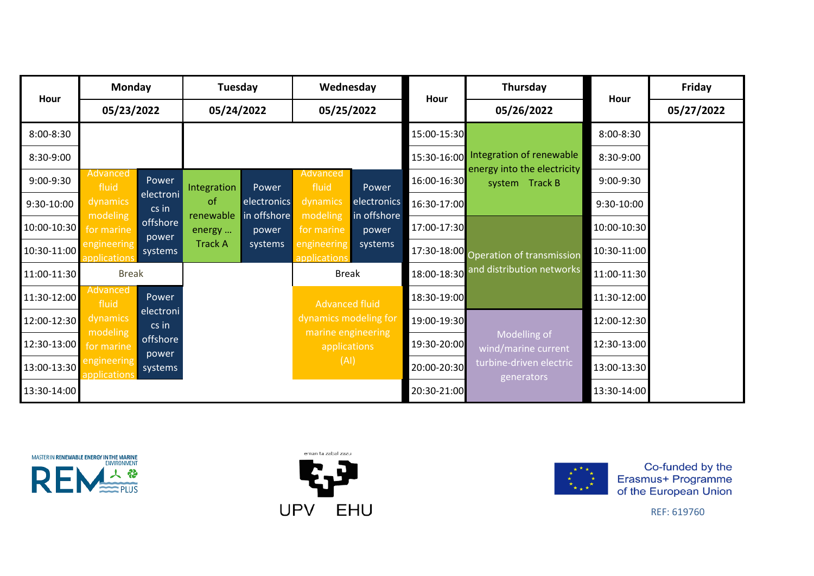| Hour        | <b>Monday</b>                                                                                |                          | Tuesday                         |                            | Wednesday                          |                                       | Hour        | Thursday                                      | Hour        | Friday     |
|-------------|----------------------------------------------------------------------------------------------|--------------------------|---------------------------------|----------------------------|------------------------------------|---------------------------------------|-------------|-----------------------------------------------|-------------|------------|
|             | 05/23/2022                                                                                   |                          | 05/24/2022                      |                            | 05/25/2022                         |                                       |             | 05/26/2022                                    |             | 05/27/2022 |
| 8:00-8:30   |                                                                                              |                          |                                 |                            |                                    |                                       | 15:00-15:30 |                                               | 8:00-8:30   |            |
| 8:30-9:00   |                                                                                              |                          |                                 |                            |                                    |                                       | 15:30-16:00 | Integration of renewable                      | 8:30-9:00   |            |
| 9:00-9:30   | <b>Advanced</b><br>fluid                                                                     | Power                    | Integration                     | Power                      | Advanced<br>fluid                  | Power                                 | 16:00-16:30 | energy into the electricity<br>system Track B | 9:00-9:30   |            |
| 9:30-10:00  | dynamics                                                                                     | electroni<br>$cs$ in     | of<br>renewable                 | electronics<br>in offshore | dynamics                           | electronics<br>in offshore            | 16:30-17:00 |                                               | 9:30-10:00  |            |
| 10:00-10:30 | modeling<br>offshore<br>for marine                                                           | energy<br>power<br>power | modeling<br>for marine<br>power | 17:00-17:30                |                                    | 10:00-10:30                           |             |                                               |             |            |
| 10:30-11:00 | engineering<br>applicatior                                                                   | systems                  | <b>Track A</b>                  | systems                    | engineering<br>applications        | systems                               |             | 17:30-18:00 Operation of transmission         | 10:30-11:00 |            |
| 11:00-11:30 | <b>Break</b>                                                                                 |                          |                                 |                            | <b>Break</b>                       |                                       |             | 18:00-18:30 and distribution networks         | 11:00-11:30 |            |
| 11:30-12:00 | Advanced<br>fluid                                                                            | Power                    |                                 |                            | <b>Advanced fluid</b>              |                                       | 18:30-19:00 |                                               | 11:30-12:00 |            |
| 12:00-12:30 | dynamics                                                                                     | electroni<br>cs in       |                                 |                            | dynamics modeling for              |                                       | 19:00-19:30 |                                               | 12:00-12:30 |            |
| 12:30-13:00 | modeling<br>offshore<br>for marine<br>power<br>engineering<br>systems<br><b>applications</b> |                          |                                 |                            | marine engineering<br>applications |                                       | 19:30-20:00 | Modelling of<br>wind/marine current           | 12:30-13:00 |            |
| 13:00-13:30 |                                                                                              |                          | (AI)                            |                            | 20:00-20:30                        | turbine-driven electric<br>generators | 13:00-13:30 |                                               |             |            |
| 13:30-14:00 |                                                                                              |                          |                                 |                            |                                    |                                       | 20:30-21:00 |                                               | 13:30-14:00 |            |





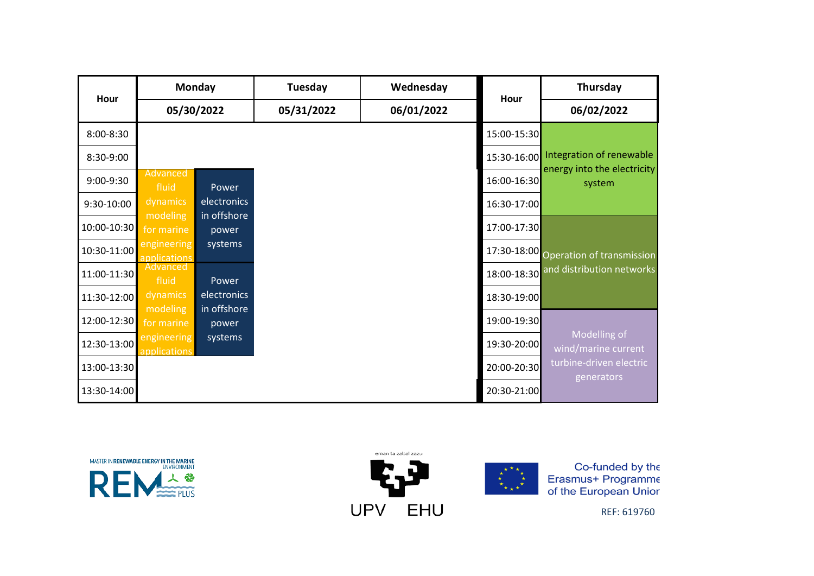| Hour        | Monday                      |                            | Tuesday    | Wednesday  | Hour        | Thursday                              |
|-------------|-----------------------------|----------------------------|------------|------------|-------------|---------------------------------------|
|             | 05/30/2022                  |                            | 05/31/2022 | 06/01/2022 |             | 06/02/2022                            |
| 8:00-8:30   |                             |                            |            |            | 15:00-15:30 |                                       |
| 8:30-9:00   |                             |                            |            |            |             | 15:30-16:00 Integration of renewable  |
| 9:00-9:30   | Advanced<br>fluid           | Power                      |            |            | 16:00-16:30 | energy into the electricity<br>system |
| 9:30-10:00  | dynamics<br>modeling        | electronics<br>in offshore |            |            | 16:30-17:00 |                                       |
| 10:00-10:30 | for marine                  | power                      |            |            | 17:00-17:30 |                                       |
| 10:30-11:00 | engineering<br>applications | systems                    |            |            |             | 17:30-18:00 Operation of transmission |
| 11:00-11:30 | Advanced<br>fluid           | Power                      |            |            | 18:00-18:30 | and distribution networks             |
| 11:30-12:00 | dynamics                    | electronics<br>in offshore |            |            | 18:30-19:00 |                                       |
| 12:00-12:30 | modeling<br>for marine      | power                      |            |            | 19:00-19:30 |                                       |
| 12:30-13:00 | engineering<br>applications | systems                    |            |            | 19:30-20:00 | Modelling of<br>wind/marine current   |
| 13:00-13:30 |                             |                            |            |            | 20:00-20:30 | turbine-driven electric<br>generators |
| 13:30-14:00 |                             |                            |            |            | 20:30-21:00 |                                       |





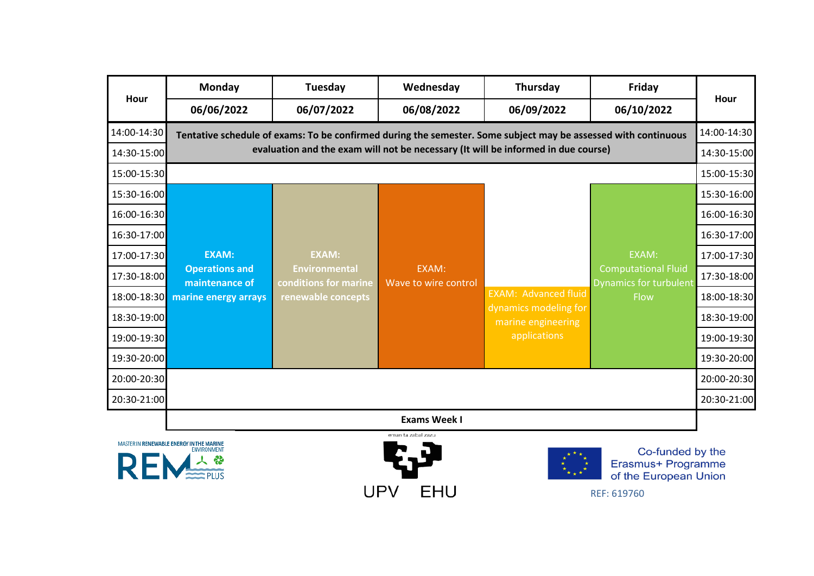|             | <b>Monday</b>                           | Tuesday                                       | Wednesday                     | Thursday                                                                                                       | Friday                                                      | Hour        |
|-------------|-----------------------------------------|-----------------------------------------------|-------------------------------|----------------------------------------------------------------------------------------------------------------|-------------------------------------------------------------|-------------|
| Hour        | 06/06/2022                              | 06/07/2022                                    | 06/08/2022                    | 06/09/2022                                                                                                     | 06/10/2022                                                  |             |
| 14:00-14:30 |                                         |                                               |                               | Tentative schedule of exams: To be confirmed during the semester. Some subject may be assessed with continuous |                                                             | 14:00-14:30 |
| 14:30-15:00 |                                         |                                               |                               | evaluation and the exam will not be necessary (It will be informed in due course)                              |                                                             | 14:30-15:00 |
| 15:00-15:30 |                                         |                                               |                               |                                                                                                                |                                                             | 15:00-15:30 |
| 15:30-16:00 |                                         |                                               |                               |                                                                                                                |                                                             | 15:30-16:00 |
| 16:00-16:30 |                                         |                                               |                               |                                                                                                                |                                                             | 16:00-16:30 |
| 16:30-17:00 |                                         |                                               |                               |                                                                                                                |                                                             | 16:30-17:00 |
| 17:00-17:30 | <b>EXAM:</b>                            | <b>EXAM:</b>                                  |                               |                                                                                                                | EXAM:                                                       | 17:00-17:30 |
| 17:30-18:00 | <b>Operations and</b><br>maintenance of | <b>Environmental</b><br>conditions for marine | EXAM:<br>Wave to wire control |                                                                                                                | <b>Computational Fluid</b><br><b>Dynamics for turbulent</b> | 17:30-18:00 |
| 18:00-18:30 | marine energy arrays                    | renewable concepts                            |                               | <b>EXAM: Advanced fluid</b>                                                                                    | Flow                                                        | 18:00-18:30 |
| 18:30-19:00 |                                         |                                               |                               | dynamics modeling for<br>marine engineering                                                                    |                                                             | 18:30-19:00 |
| 19:00-19:30 |                                         |                                               |                               | applications                                                                                                   |                                                             | 19:00-19:30 |
| 19:30-20:00 |                                         |                                               |                               |                                                                                                                |                                                             | 19:30-20:00 |
| 20:00-20:30 |                                         |                                               |                               |                                                                                                                |                                                             | 20:00-20:30 |
| 20:30-21:00 |                                         |                                               |                               |                                                                                                                |                                                             | 20:30-21:00 |
|             |                                         |                                               | <b>Exams Week I</b>           |                                                                                                                |                                                             |             |





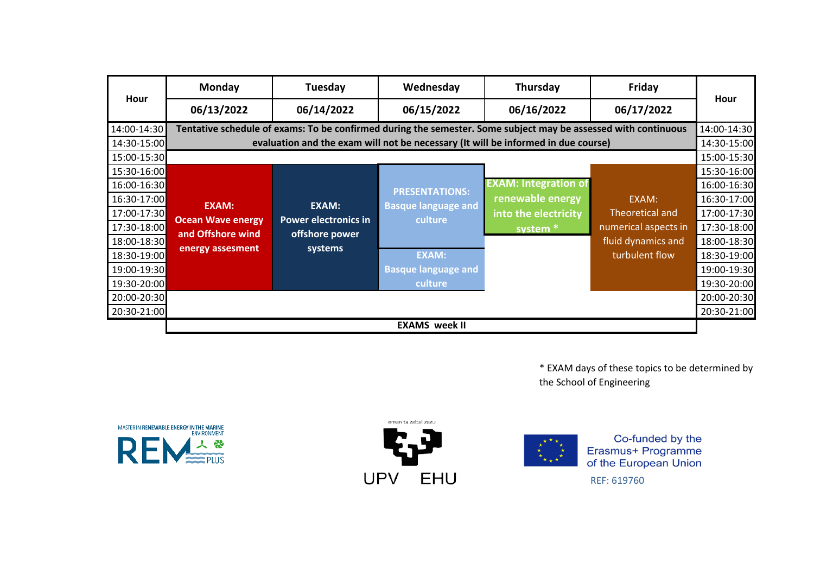|             | Monday                   | Tuesday                     | Wednesday                  | Thursday                                                                                                       | Friday               |             |
|-------------|--------------------------|-----------------------------|----------------------------|----------------------------------------------------------------------------------------------------------------|----------------------|-------------|
| Hour        | 06/13/2022               | 06/14/2022                  | 06/15/2022                 | 06/16/2022                                                                                                     | 06/17/2022           | Hour        |
| 14:00-14:30 |                          |                             |                            | Tentative schedule of exams: To be confirmed during the semester. Some subject may be assessed with continuous |                      | 14:00-14:30 |
| 14:30-15:00 |                          |                             |                            | evaluation and the exam will not be necessary (It will be informed in due course)                              |                      | 14:30-15:00 |
| 15:00-15:30 |                          |                             |                            |                                                                                                                |                      | 15:00-15:30 |
| 15:30-16:00 |                          |                             |                            |                                                                                                                |                      | 15:30-16:00 |
| 16:00-16:30 |                          |                             | <b>PRESENTATIONS:</b>      | <b>EXAM: Integration of</b>                                                                                    |                      | 16:00-16:30 |
| 16:30-17:00 | <b>EXAM:</b>             | <b>EXAM:</b>                | <b>Basque language and</b> | renewable energy                                                                                               | EXAM:                | 16:30-17:00 |
| 17:00-17:30 | <b>Ocean Wave energy</b> | <b>Power electronics in</b> | culture                    | into the electricity                                                                                           | Theoretical and      | 17:00-17:30 |
| 17:30-18:00 | and Offshore wind        | offshore power              |                            | system <sup>*</sup>                                                                                            | numerical aspects in | 17:30-18:00 |
| 18:00-18:30 | energy assesment         | systems                     |                            |                                                                                                                | fluid dynamics and   | 18:00-18:30 |
| 18:30-19:00 |                          |                             | <b>EXAM:</b>               |                                                                                                                | turbulent flow       | 18:30-19:00 |
| 19:00-19:30 |                          |                             | <b>Basque language and</b> |                                                                                                                |                      | 19:00-19:30 |
| 19:30-20:00 |                          |                             | culture                    |                                                                                                                |                      | 19:30-20:00 |
| 20:00-20:30 |                          |                             |                            |                                                                                                                |                      | 20:00-20:30 |
| 20:30-21:00 |                          |                             |                            |                                                                                                                |                      | 20:30-21:00 |
|             |                          |                             | <b>EXAMS</b> week II       |                                                                                                                |                      |             |

\* EXAM days of these topics to be determined by the School of Engineering







Co-funded by the Erasmus+ Programme<br>of the European Union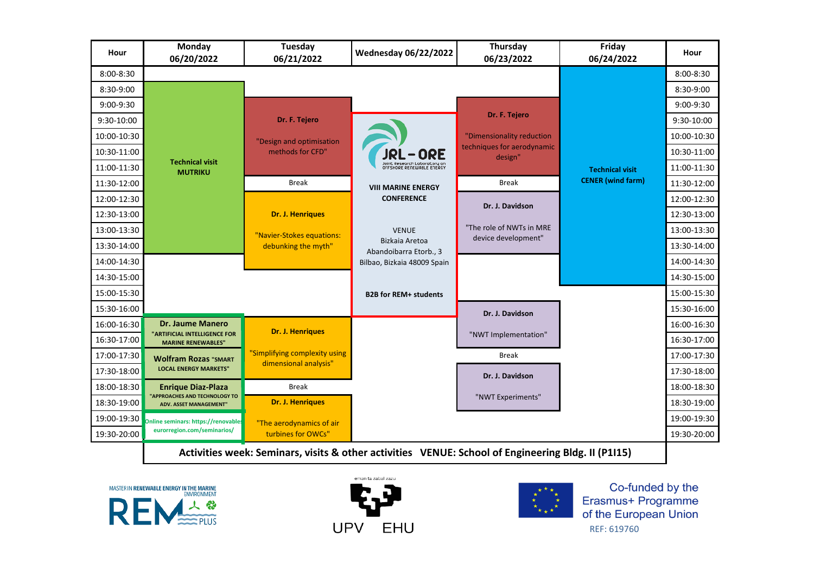| Hour          | Monday<br>06/20/2022                                           | Tuesday<br>06/21/2022                                  | <b>Wednesday 06/22/2022</b>                               | Thursday<br>06/23/2022                          | Friday<br>06/24/2022     | Hour          |
|---------------|----------------------------------------------------------------|--------------------------------------------------------|-----------------------------------------------------------|-------------------------------------------------|--------------------------|---------------|
| $8:00 - 8:30$ |                                                                |                                                        |                                                           |                                                 |                          | $8:00 - 8:30$ |
| 8:30-9:00     |                                                                |                                                        |                                                           |                                                 |                          | $8:30-9:00$   |
| 9:00-9:30     |                                                                |                                                        |                                                           |                                                 |                          | $9:00-9:30$   |
| 9:30-10:00    |                                                                | Dr. F. Tejero                                          |                                                           | Dr. F. Tejero                                   |                          | 9:30-10:00    |
| 10:00-10:30   |                                                                | "Design and optimisation                               |                                                           | "Dimensionality reduction                       |                          | 10:00-10:30   |
| 10:30-11:00   |                                                                | methods for CFD"                                       | JRL-ORE                                                   | techniques for aerodynamic<br>design"           |                          | 10:30-11:00   |
| 11:00-11:30   | <b>Technical visit</b><br><b>MUTRIKU</b>                       |                                                        | Joint Research Laboratory on<br>OFFSHORE RENEWABLE ENERGY |                                                 | <b>Technical visit</b>   | 11:00-11:30   |
| 11:30-12:00   |                                                                | <b>Break</b>                                           | <b>VIII MARINE ENERGY</b>                                 | <b>Break</b>                                    | <b>CENER</b> (wind farm) | 11:30-12:00   |
| 12:00-12:30   |                                                                |                                                        | <b>CONFERENCE</b>                                         | Dr. J. Davidson                                 |                          | 12:00-12:30   |
| 12:30-13:00   |                                                                | <b>Dr. J. Henriques</b>                                |                                                           |                                                 |                          | 12:30-13:00   |
| 13:00-13:30   |                                                                | "Navier-Stokes equations:                              | <b>VENUE</b>                                              | "The role of NWTs in MRE<br>device development" |                          | 13:00-13:30   |
| 13:30-14:00   |                                                                | debunking the myth"                                    | Bizkaia Aretoa<br>Abandoibarra Etorb., 3                  |                                                 |                          | 13:30-14:00   |
| 14:00-14:30   |                                                                |                                                        | Bilbao, Bizkaia 48009 Spain                               |                                                 |                          | 14:00-14:30   |
| 14:30-15:00   |                                                                |                                                        |                                                           |                                                 |                          | 14:30-15:00   |
| 15:00-15:30   |                                                                |                                                        | <b>B2B for REM+ students</b>                              |                                                 |                          | 15:00-15:30   |
| 15:30-16:00   |                                                                |                                                        |                                                           | Dr. J. Davidson                                 |                          | 15:30-16:00   |
| 16:00-16:30   | <b>Dr. Jaume Manero</b>                                        | <b>Dr. J. Henriques</b>                                |                                                           |                                                 |                          | 16:00-16:30   |
| 16:30-17:00   | "ARTIFICIAL INTELLIGENCE FOR<br><b>MARINE RENEWABLES"</b>      |                                                        |                                                           | "NWT Implementation"                            |                          | 16:30-17:00   |
| 17:00-17:30   | <b>Wolfram Rozas "SMART</b>                                    | "Simplifying complexity using<br>dimensional analysis" |                                                           | <b>Break</b>                                    |                          | 17:00-17:30   |
| 17:30-18:00   | <b>LOCAL ENERGY MARKETS"</b>                                   |                                                        |                                                           | Dr. J. Davidson                                 |                          | 17:30-18:00   |
| 18:00-18:30   | <b>Enrique Diaz-Plaza</b>                                      | <b>Break</b>                                           |                                                           |                                                 |                          | 18:00-18:30   |
| 18:30-19:00   | "APPROACHES AND TECHNOLOGY TO<br><b>ADV. ASSET MANAGEMENT"</b> | <b>Dr. J. Henriques</b>                                |                                                           | "NWT Experiments"                               |                          | 18:30-19:00   |
| 19:00-19:30   | Online seminars: https://renovables                            | "The aerodynamics of air                               |                                                           |                                                 |                          | 19:00-19:30   |
| 19:30-20:00   | eurorregion.com/seminarios/                                    | turbines for OWCs"                                     |                                                           |                                                 |                          | 19:30-20:00   |

**Activities week: Seminars, visits & other activities VENUE: School of Engineering Bldg. II (P1I15)**







Co-funded by the Erasmus+ Programme of the European Union REF: 619760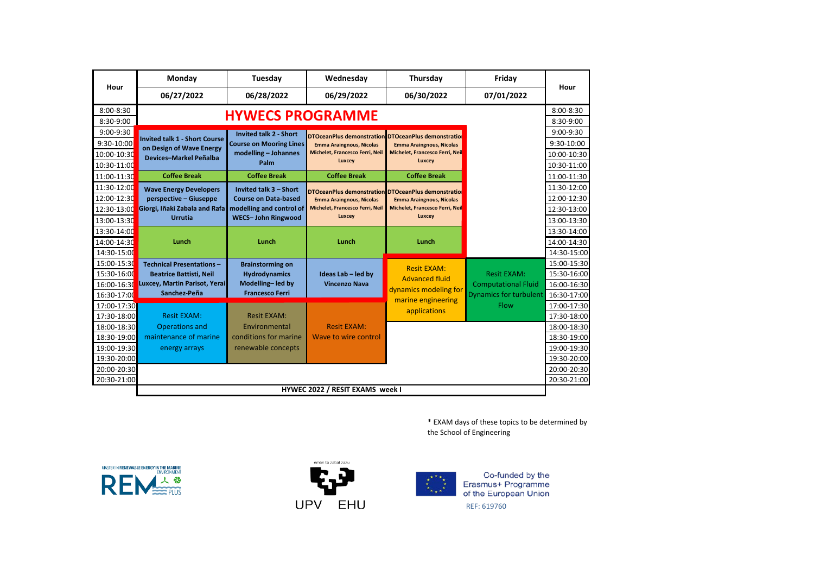|               | Monday                                                    | Tuesday                        | Wednesday                                           | Thursday                                    | Friday                        |             |
|---------------|-----------------------------------------------------------|--------------------------------|-----------------------------------------------------|---------------------------------------------|-------------------------------|-------------|
| Hour          | 06/27/2022                                                | 06/28/2022                     | 06/29/2022                                          | 06/30/2022                                  | 07/01/2022                    | Hour        |
| $8:00 - 8:30$ |                                                           |                                |                                                     |                                             |                               | 8:00-8:30   |
| 8:30-9:00     |                                                           | <b>HYWECS PROGRAMME</b>        |                                                     |                                             |                               | 8:30-9:00   |
| 9:00-9:30     |                                                           | <b>Invited talk 2 - Short</b>  | DTOceanPlus demonstration DTOceanPlus demonstration |                                             |                               | 9:00-9:30   |
| 9:30-10:00    | <b>Invited talk 1 - Short Course</b>                      | <b>Course on Mooring Lines</b> | <b>Emma Araingnous, Nicolas</b>                     | <b>Emma Araingnous, Nicolas</b>             |                               | 9:30-10:00  |
| 10:00-10:30   | on Design of Wave Energy<br><b>Devices-Markel Peñalba</b> | modelling - Johannes           | Michelet, Francesco Ferri, Neil                     | Michelet, Francesco Ferri, Neil             |                               | 10:00-10:30 |
| 10:30-11:00   |                                                           | Palm                           | Luxcey                                              | Luxcey                                      |                               | 10:30-11:00 |
| 11:00-11:30   | <b>Coffee Break</b>                                       | <b>Coffee Break</b>            | <b>Coffee Break</b>                                 | <b>Coffee Break</b>                         |                               | 11:00-11:30 |
| 11:30-12:00   | <b>Wave Energy Developers</b>                             | Invited talk 3 - Short         | DTOceanPlus demonstration DTOceanPlus demonstratio  |                                             |                               | 11:30-12:00 |
| 12:00-12:30   | perspective - Giuseppe                                    | <b>Course on Data-based</b>    | <b>Emma Araingnous, Nicolas</b>                     | <b>Emma Araingnous, Nicolas</b>             |                               | 12:00-12:30 |
| 12:30-13:00   | Giorgi, Iñaki Zabala and Rafa                             | modelling and control of       | Michelet, Francesco Ferri, Neil                     | Michelet, Francesco Ferri, Neil             |                               | 12:30-13:00 |
| 13:00-13:30   | <b>Urrutia</b>                                            | <b>WECS-John Ringwood</b>      | Luxcey                                              | Luxcey                                      |                               | 13:00-13:30 |
| 13:30-14:00   |                                                           |                                |                                                     |                                             |                               | 13:30-14:00 |
| 14:00-14:30   | Lunch                                                     | Lunch                          | Lunch                                               | Lunch                                       |                               | 14:00-14:30 |
| 14:30-15:00   |                                                           |                                |                                                     |                                             |                               | 14:30-15:00 |
| 15:00-15:30   | <b>Technical Presentations-</b>                           | <b>Brainstorming on</b>        |                                                     |                                             |                               | 15:00-15:30 |
| 15:30-16:00   | <b>Beatrice Battisti, Neil</b>                            | <b>Hydrodynamics</b>           | Ideas Lab - led by                                  | <b>Resit EXAM:</b><br><b>Advanced fluid</b> | <b>Resit EXAM:</b>            | 15:30-16:00 |
| 16:00-16:30   | Luxcey, Martin Parisot, Yerai                             | Modelling-led by               | <b>Vincenzo Nava</b>                                | dynamics modeling for                       | <b>Computational Fluid</b>    | 16:00-16:30 |
| 16:30-17:00   | Sanchez-Peña                                              | <b>Francesco Ferri</b>         |                                                     | marine engineering                          | <b>Dynamics for turbulent</b> | 16:30-17:00 |
| 17:00-17:30   |                                                           |                                |                                                     | applications                                | <b>Flow</b>                   | 17:00-17:30 |
| 17:30-18:00   | <b>Resit EXAM:</b>                                        | <b>Resit EXAM:</b>             |                                                     |                                             |                               | 17:30-18:00 |
| 18:00-18:30   | <b>Operations and</b>                                     | Environmental                  | <b>Resit EXAM:</b>                                  |                                             |                               | 18:00-18:30 |
| 18:30-19:00   | maintenance of marine                                     | conditions for marine          | Wave to wire control                                |                                             |                               | 18:30-19:00 |
| 19:00-19:30   | energy arrays                                             | renewable concepts             |                                                     |                                             |                               | 19:00-19:30 |
| 19:30-20:00   |                                                           |                                |                                                     |                                             |                               | 19:30-20:00 |
| 20:00-20:30   |                                                           |                                |                                                     |                                             |                               | 20:00-20:30 |
| 20:30-21:00   |                                                           |                                |                                                     |                                             |                               | 20:30-21:00 |
|               |                                                           |                                | HYWEC 2022 / RESIT EXAMS week I                     |                                             |                               |             |

\* EXAM days of these topics to be determined by the School of Engineering







Co-funded by the<br>Erasmus+ Programme<br>of the European Union